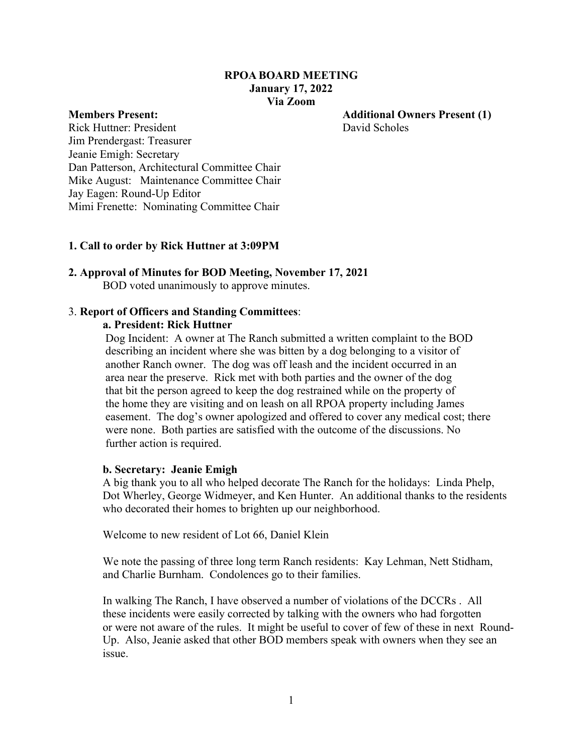## **RPOA BOARD MEETING January 17, 2022 Via Zoom**

**Members Present: Additional Owners Present (1)**

Rick Huttner: President David Scholes Jim Prendergast: Treasurer Jeanie Emigh: Secretary Dan Patterson, Architectural Committee Chair Mike August: Maintenance Committee Chair Jay Eagen: Round-Up Editor Mimi Frenette: Nominating Committee Chair

#### **1. Call to order by Rick Huttner at 3:09PM**

#### **2. Approval of Minutes for BOD Meeting, November 17, 2021** BOD voted unanimously to approve minutes.

#### 3. **Report of Officers and Standing Committees**:

#### **a. President: Rick Huttner**

 Dog Incident: A owner at The Ranch submitted a written complaint to the BOD describing an incident where she was bitten by a dog belonging to a visitor of another Ranch owner. The dog was off leash and the incident occurred in an area near the preserve. Rick met with both parties and the owner of the dog that bit the person agreed to keep the dog restrained while on the property of the home they are visiting and on leash on all RPOA property including James easement. The dog's owner apologized and offered to cover any medical cost; there were none. Both parties are satisfied with the outcome of the discussions. No further action is required.

#### **b. Secretary: Jeanie Emigh**

A big thank you to all who helped decorate The Ranch for the holidays: Linda Phelp, Dot Wherley, George Widmeyer, and Ken Hunter. An additional thanks to the residents who decorated their homes to brighten up our neighborhood.

Welcome to new resident of Lot 66, Daniel Klein

We note the passing of three long term Ranch residents: Kay Lehman, Nett Stidham, and Charlie Burnham. Condolences go to their families.

In walking The Ranch, I have observed a number of violations of the DCCRs . All these incidents were easily corrected by talking with the owners who had forgotten or were not aware of the rules. It might be useful to cover of few of these in next Round-Up. Also, Jeanie asked that other BOD members speak with owners when they see an issue.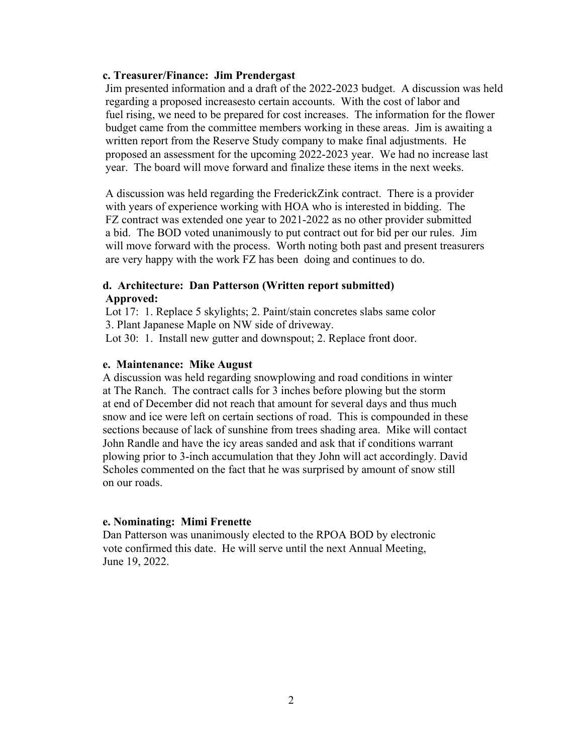## **c. Treasurer/Finance: Jim Prendergast**

Jim presented information and a draft of the 2022-2023 budget. A discussion was held regarding a proposed increasesto certain accounts. With the cost of labor and fuel rising, we need to be prepared for cost increases. The information for the flower budget came from the committee members working in these areas. Jim is awaiting a written report from the Reserve Study company to make final adjustments. He proposed an assessment for the upcoming 2022-2023 year. We had no increase last year. The board will move forward and finalize these items in the next weeks.

A discussion was held regarding the FrederickZink contract. There is a provider with years of experience working with HOA who is interested in bidding. The FZ contract was extended one year to 2021-2022 as no other provider submitted a bid. The BOD voted unanimously to put contract out for bid per our rules. Jim will move forward with the process. Worth noting both past and present treasurers are very happy with the work FZ has been doing and continues to do.

## **d. Architecture: Dan Patterson (Written report submitted) Approved:**

Lot 17: 1. Replace 5 skylights; 2. Paint/stain concretes slabs same color 3. Plant Japanese Maple on NW side of driveway. Lot 30: 1. Install new gutter and downspout; 2. Replace front door.

## **e. Maintenance: Mike August**

A discussion was held regarding snowplowing and road conditions in winter at The Ranch. The contract calls for 3 inches before plowing but the storm at end of December did not reach that amount for several days and thus much snow and ice were left on certain sections of road. This is compounded in these sections because of lack of sunshine from trees shading area. Mike will contact John Randle and have the icy areas sanded and ask that if conditions warrant plowing prior to 3-inch accumulation that they John will act accordingly. David Scholes commented on the fact that he was surprised by amount of snow still on our roads.

## **e. Nominating: Mimi Frenette**

Dan Patterson was unanimously elected to the RPOA BOD by electronic vote confirmed this date. He will serve until the next Annual Meeting, June 19, 2022.